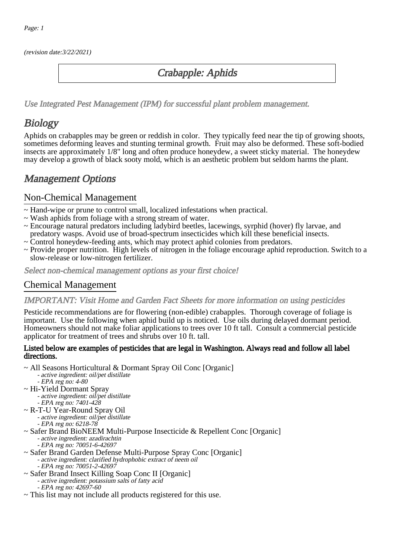(revision date:3/22/2021)

## Crabapple: Aphids

[Use Integrated Pest Management \(IPM\) for successful plant problem management.](http://pep.wsu.edu/Home_Garden/H_G_Pesticide_info/urban_Integrated_Pest_Managmen/)

# **Biology**

Aphids on crabapples may be green or reddish in color. They typically feed near the tip of growing shoots, sometimes deforming leaves and stunting terminal growth. Fruit may also be deformed. These soft-bodied insects are approximately 1/8" long and often produce honeydew, a sweet sticky material. The honeydew may develop a growth of black sooty mold, which is an aesthetic problem but seldom harms the plant.

## Management Options

### Non-Chemical Management

- ~ Hand-wipe or prune to control small, localized infestations when practical.
- ~ Wash aphids from foliage with a strong stream of water.
- ~ Encourage natural predators including ladybird beetles, lacewings, syrphid (hover) fly larvae, and predatory wasps. Avoid use of broad-spectrum insecticides which kill these beneficial insects.
- ~ Control honeydew-feeding ants, which may protect aphid colonies from predators.
- ~ Provide proper nutrition. High levels of nitrogen in the foliage encourage aphid reproduction. Switch to a slow-release or low-nitrogen fertilizer.

Select non-chemical management options as your first choice!

## Chemical Management

#### IMPORTANT: [Visit Home and Garden Fact Sheets for more information on using pesticides](http://pep.wsu.edu/Home_Garden/H_G_Pesticide_info/)

Pesticide recommendations are for flowering (non-edible) crabapples. Thorough coverage of foliage is important. Use the following when aphid build up is noticed. Use oils during delayed dormant period. Homeowners should not make foliar applications to trees over 10 ft tall. Consult a commercial pesticide applicator for treatment of trees and shrubs over 10 ft. tall.

#### Listed below are examples of pesticides that are legal in Washington. Always read and follow all label directions.

- ~ All Seasons Horticultural & Dormant Spray Oil Conc [Organic]
	- active ingredient: oil/pet distillate
	- EPA reg no: 4-80
- ~ Hi-Yield Dormant Spray - active ingredient: oil/pet distillate - EPA reg no: 7401-428
- ~ R-T-U Year-Round Spray Oil - active ingredient: oil/pet distillate
- EPA reg no: 6218-78 ~ Safer Brand BioNEEM Multi-Purpose Insecticide & Repellent Conc [Organic] - active ingredient: azadirachtin
	- EPA reg no: 70051-6-42697
- ~ Safer Brand Garden Defense Multi-Purpose Spray Conc [Organic] - active ingredient: clarified hydrophobic extract of neem oil - EPA reg no: 70051-2-42697
- ~ Safer Brand Insect Killing Soap Conc II [Organic] - active ingredient: potassium salts of fatty acid - EPA reg no: 42697-60
- ~ This list may not include all products registered for this use.